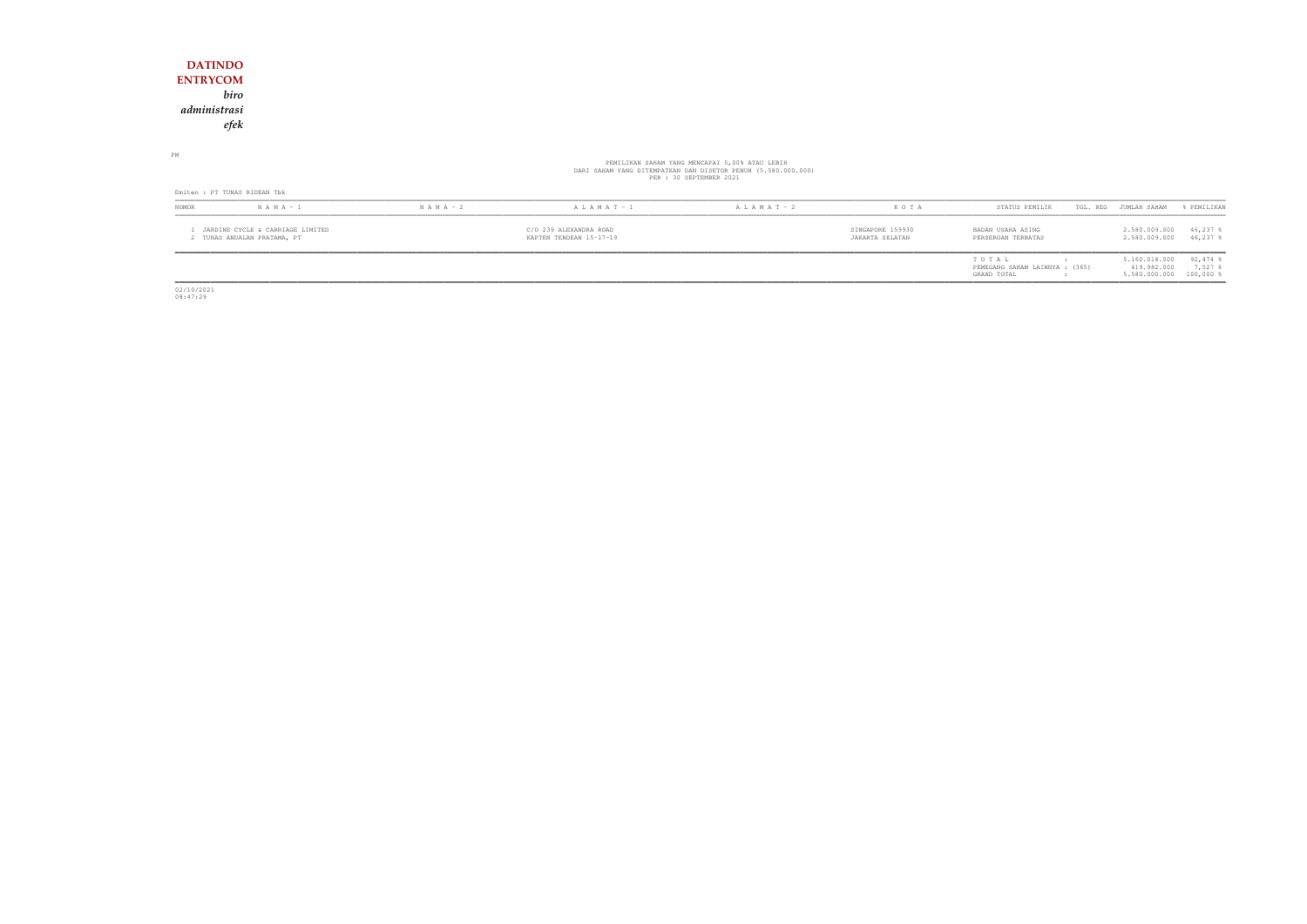### **DATINDO ENTRYCOM** *biro administrasiefek*

PM

# PEMILIKAN SAHAM YANG MENCAPAI 5,00% ATAU LEBIH<br>DARI SAHAM YANG DITEMPATKAN DAN DISETOR PENUH (5.580.000.000)<br>PER : 30 SEPTEMBER 2021

| Emiten : PT TUNAS RIDEAN Tbk |                                                               |               |                                                                                                                                     |                   |                                |                                                        |                                                         |                     |  |
|------------------------------|---------------------------------------------------------------|---------------|-------------------------------------------------------------------------------------------------------------------------------------|-------------------|--------------------------------|--------------------------------------------------------|---------------------------------------------------------|---------------------|--|
| <b>NOMOR</b>                 | $N A M A - 1$                                                 | $N A M A - 2$ | $A L A M A T - 1$                                                                                                                   | $A L A M A T - 2$ | K O T A                        | STATUS PEMILIK                                         | TGL. REG<br>JUMLAH SAHAM                                | FEMILIKAN           |  |
|                              | JARDINE CYCLE & CARRIAGE LIMITED<br>TUNAS ANDALAN PRATAMA, PT |               | SINGAPORE 159930<br>C/O 239 ALEXANDRA ROAD<br>BADAN USAHA ASING<br>KAPTEN TENDEAN 15-17-19<br>JAKARTA SELATAN<br>PERSEROAN TERBATAS |                   | 2.580.009.000<br>2.580.009.000 | 46,237<br>46,237                                       |                                                         |                     |  |
|                              |                                                               |               |                                                                                                                                     |                   |                                | TOTAL<br>PEMEGANG SAHAM LAINNYA : (365)<br>GRAND TOTAL | 5.160.018.000<br>419.982.000<br>5.580.000.000 100,000 % | $92,474$ %<br>7,527 |  |

02/10/2021 08:47:29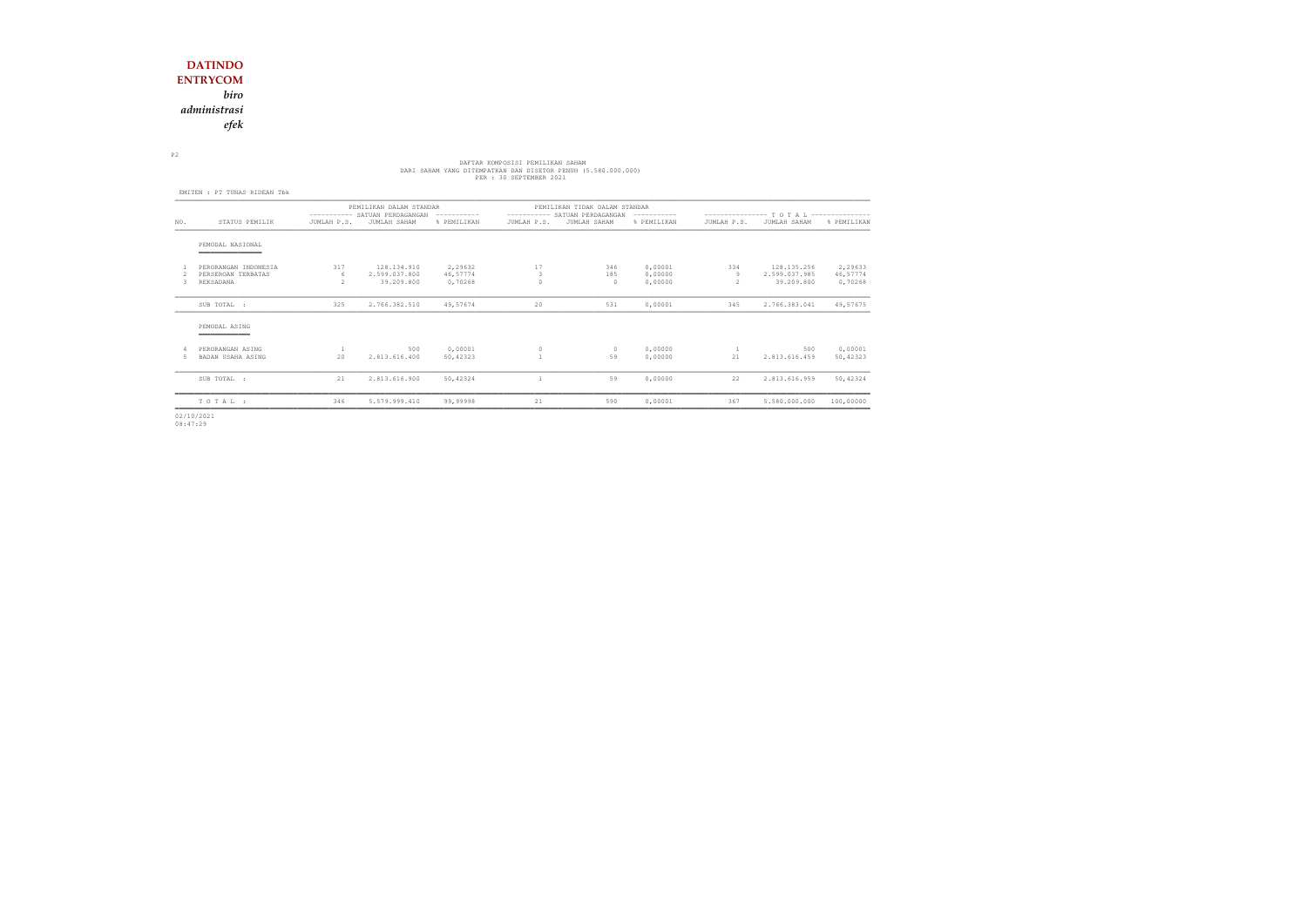*biro*

*administrasi*

*efek*

# DARI SAHAM YANG DITEMPATKAN DAN DISETOR PEMILIKAN SAHAM<br>DARI SAHAM YANG DITEMPATKAN DAN DISETOR PENUH (5.580.000.000)<br>PER : 30 SEPTEMBER 2021

P2

|     | EMITEN : PT TUNAS RIDEAN Tbk          |                                                                          |                             |                     |                                                                                |                 |                    |                                            |                             |                     |  |
|-----|---------------------------------------|--------------------------------------------------------------------------|-----------------------------|---------------------|--------------------------------------------------------------------------------|-----------------|--------------------|--------------------------------------------|-----------------------------|---------------------|--|
|     |                                       | PEMILIKAN DALAM STANDAR<br>---------- SATUAN PERDAGANGAN<br>------------ |                             |                     | PEMILIKAN TIDAK DALAM STANDAR<br>---------- SATUAN PERDAGANGAN<br>------------ |                 |                    | ---------------- T O T A L --------------- |                             |                     |  |
| NO. | STATUS PEMILIK                        | JUMLAH P.S.                                                              | JUMLAH SAHAM                | % PEMILIKAN         | JUMLAH P.S.                                                                    | JUMLAH SAHAM    | % PEMILIKAN        | JUMLAH P.S.                                | JUMLAH SAHAM                | % PEMILIKAN         |  |
|     | PEMODAL NASIONAL<br>_______________   |                                                                          |                             |                     |                                                                                |                 |                    |                                            |                             |                     |  |
|     | PERORANGAN INDONESIA                  | 317                                                                      | 128.134.910                 | 2,29632             | 17                                                                             | 346             | 0,00001            | 334                                        | 128.135.256                 | 2,29633             |  |
| ₹   | PERSEROAN TERBATAS<br>REKSADANA       | 6<br>$\mathcal{P}$                                                       | 2.599.037.800<br>39,209,800 | 46,57774<br>0,70268 | 3<br>$\Omega$                                                                  | 185<br>$\Omega$ | 0,00000<br>0,00000 | 9<br>2                                     | 2.599.037.985<br>39,209,800 | 46,57774<br>0,70268 |  |
|     | SUB TOTAL :                           | 325                                                                      | 2.766.382.510               | 49,57674            | 20                                                                             | 531             | 0,00001            | 345                                        | 2.766.383.041               | 49,57675            |  |
|     | PEMODAL ASING                         |                                                                          |                             |                     |                                                                                |                 |                    |                                            |                             |                     |  |
| 5.  | PERORANGAN ASING<br>BADAN USAHA ASING | 1<br>20                                                                  | 500<br>2.813.616.400        | 0,00001<br>50,42323 | $\circ$                                                                        | $\circ$<br>59   | 0,00000<br>0.00000 | $\mathbf{1}$<br>21                         | 500<br>2.813.616.459        | 0,00001<br>50,42323 |  |
|     | SUB TOTAL :                           | 21                                                                       | 2.813.616.900               | 50,42324            | $\mathbf{1}$                                                                   | 59              | 0.00000            | 22                                         | 2.813.616.959               | 50,42324            |  |
|     | TOTAL:                                | 346                                                                      | 5.579.999.410               | 99,99998            | 21                                                                             | 590             | 0,00001            | 367                                        | 5.580.000.000               | 100,00000           |  |
|     |                                       |                                                                          |                             |                     |                                                                                |                 |                    |                                            |                             |                     |  |

02/10/2021 08:47:29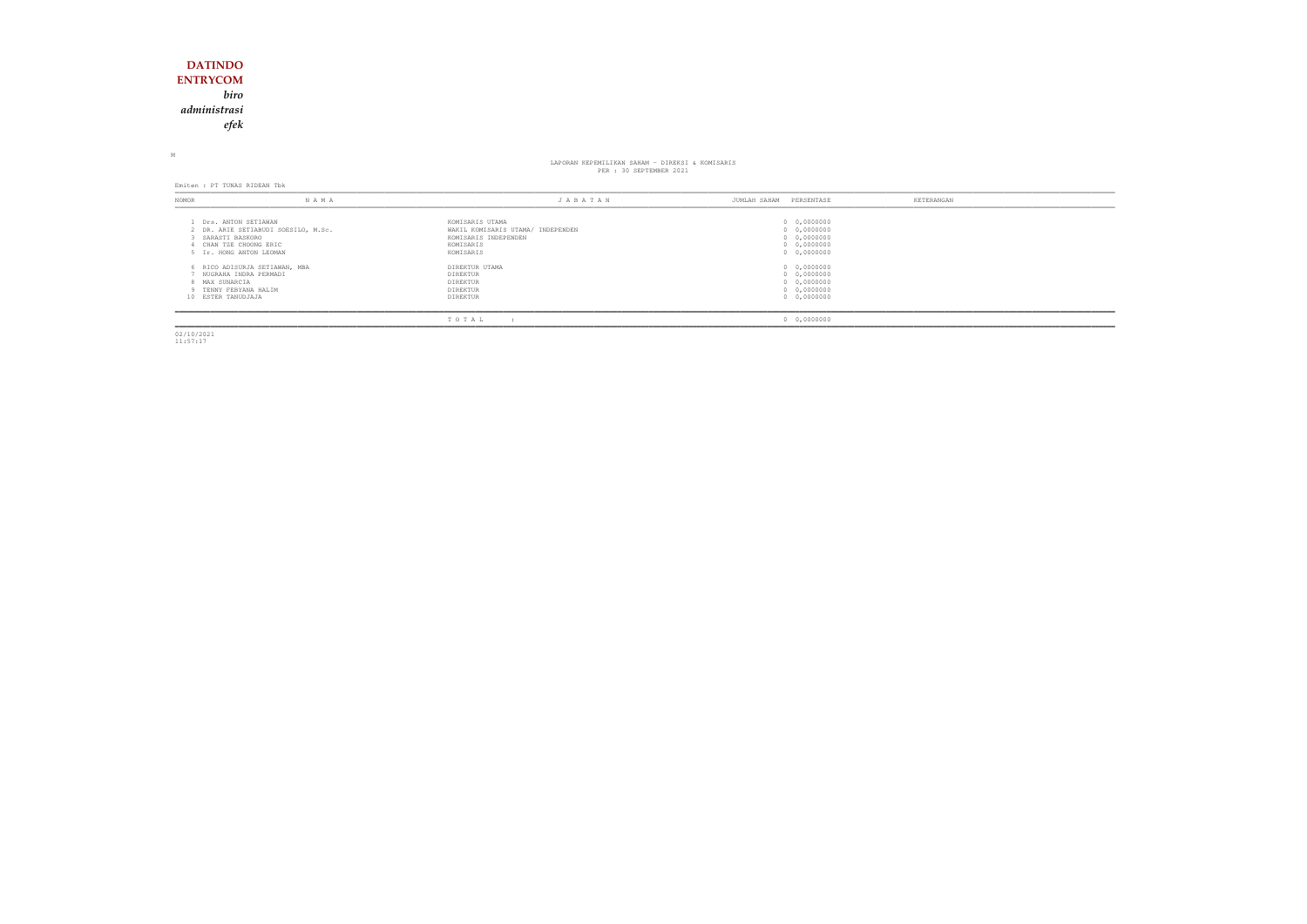## **DATINDO ENTRYCOM** *biro administrasiefek*

M

# LAPORAN KEPEMILIKAN SAHAM - DIREKSI & KOMISARIS PER : 30 SEPTEMBER 2021

Emiten : PT TUNAS RIDEAN Tbk

| NOMOR | NAMA                                                                                                                             | JABATAN                                                                                                | JUMLAH SAHAM | KETERANGAN<br>PERSENTASE                                                |
|-------|----------------------------------------------------------------------------------------------------------------------------------|--------------------------------------------------------------------------------------------------------|--------------|-------------------------------------------------------------------------|
|       | Drs. ANTON SETIAWAN<br>2 DR. ARIE SETIABUDI SOESILO, M.Sc.<br>SARASTI BASKORO<br>CHAN TZE CHOONG ERIC<br>5 Ir. HONG ANTON LEOMAN | KOMISARIS UTAMA<br>WAKIL KOMISARIS UTAMA/ INDEPENDEN<br>KOMISARIS INDEPENDEN<br>KOMISARIS<br>KOMISARIS |              | 0 0,0000000<br>0 0,0000000<br>0 0,0000000<br>0 0,0000000<br>0 0,0000000 |
|       | 6 RICO ADISURJA SETIAWAN, MBA<br>NUGRAHA INDRA PERMADI<br>8 MAX SUNARCIA<br>TENNY FEBYANA HALIM<br>10 ESTER TANUDJAJA            | DIREKTUR UTAMA<br>DIREKTUR<br>DIREKTUR<br>DIREKTUR<br>DIREKTUR                                         |              | 0 0,0000000<br>0 0,0000000<br>0 0,0000000<br>0 0,0000000<br>0 0,0000000 |
|       |                                                                                                                                  | TOTAL                                                                                                  |              | 0 0,0000000                                                             |

02/10/2021 11:57:17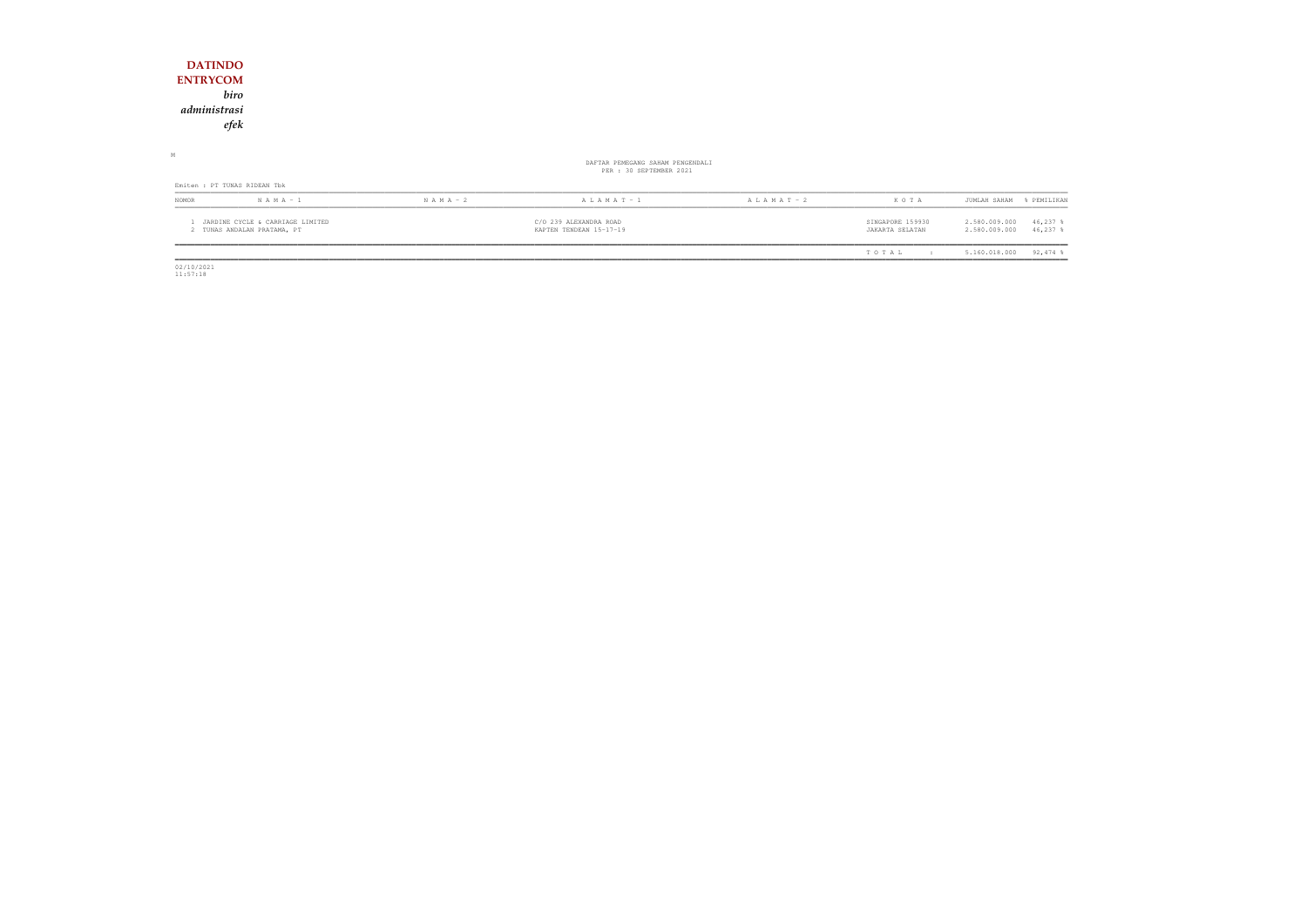| <b>DATINDO</b>                                                    |               |                                                   |                 |                                     |                                                           |
|-------------------------------------------------------------------|---------------|---------------------------------------------------|-----------------|-------------------------------------|-----------------------------------------------------------|
| <b>ENTRYCOM</b>                                                   |               |                                                   |                 |                                     |                                                           |
| biro                                                              |               |                                                   |                 |                                     |                                                           |
| administrasi                                                      |               |                                                   |                 |                                     |                                                           |
| efek                                                              |               |                                                   |                 |                                     |                                                           |
| $\mathbb M$                                                       |               | DAFTAR PEMEGANG SAHAM PENGENDALI                  |                 |                                     |                                                           |
|                                                                   |               | PER : 30 SEPTEMBER 2021                           |                 |                                     |                                                           |
| Emiten : PT TUNAS RIDEAN Tbk                                      |               |                                                   |                 |                                     |                                                           |
| NOMOR<br>$N A M A - 1$                                            | $N A M A - 2$ | A L A M A T $-1$                                  | A L A M A T - 2 | KOTA                                | PEMILIKAN<br>JUMLAH SAHAM<br>$\approx$                    |
| 1 JARDINE CYCLE & CARRIAGE LIMITED<br>2 TUNAS ANDALAN PRATAMA, PT |               | C/O 239 ALEXANDRA ROAD<br>KAPTEN TENDEAN 15-17-19 |                 | SINGAPORE 159930<br>JAKARTA SELATAN | 46,237 %<br>2.580.009.000<br>2.580.009.000<br>$46,237$ \$ |
|                                                                   |               |                                                   |                 | TOTAL<br>$\mathbf{r}$               | $92,474$ %<br>5.160.018.000                               |

 $\begin{array}{c} \hline \hline 02/10/2021 \\ 11:57:18 \end{array}$